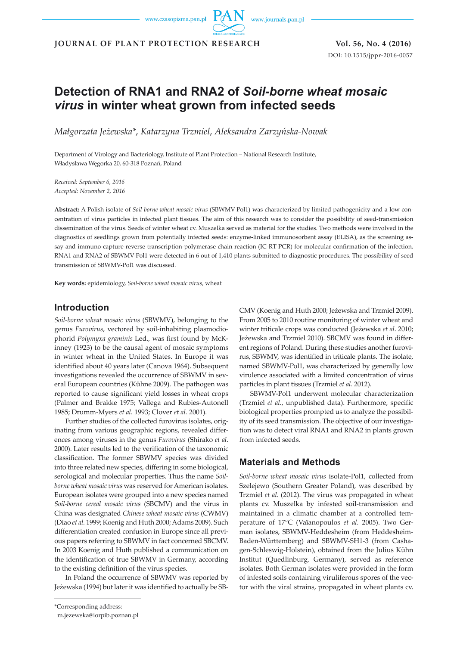www.czasopisma.pan.pl

www.journals.pan.pl

**JOURNAL OF PLANT PROTECTION RESEARCH Vol. 56, No. 4 (2016)**

DOI: 10.1515/jppr-2016-0057

# **Detection of RNA1 and RNA2 of** *Soil-borne wheat mosaic virus* **in winter wheat grown from infected seeds**

*Małgorzata Jeżewska\**, *Katarzyna Trzmiel*, *Aleksandra Zarzyńska-Nowak*

Department of Virology and Bacteriology, Institute of Plant Protection – National Research Institute, Władysława Węgorka 20, 60-318 Poznań, Poland

*Received: September 6, 2016 Accepted: November 2, 2016*

**Abstract:** A Polish isolate of *Soil-borne wheat mosaic virus* (SBWMV-Pol1) was characterized by limited pathogenicity and a low concentration of virus particles in infected plant tissues. The aim of this research was to consider the possibility of seed-transmission dissemination of the virus. Seeds of winter wheat cv. Muszelka served as material for the studies. Two methods were involved in the diagnostics of seedlings grown from potentially infected seeds: enzyme-linked immunosorbent assay (ELISA), as the screening assay and immuno-capture-reverse transcription-polymerase chain reaction (IC-RT-PCR) for molecular confirmation of the infection. RNA1 and RNA2 of SBWMV-Pol1 were detected in 6 out of 1,410 plants submitted to diagnostic procedures. The possibility of seed transmission of SBWMV-Pol1 was discussed.

**Key words:** epidemiology, *Soil-borne wheat mosaic virus*, wheat

### **Introduction**

*Soil-borne wheat mosaic virus* (SBWMV), belonging to the genus *Furovirus*, vectored by soil-inhabiting plasmodiophorid *Polymyxa graminis* Led., was first found by McKinney (1923) to be the causal agent of mosaic symptoms in winter wheat in the United States. In Europe it was identified about 40 years later (Canova 1964). Subsequent investigations revealed the occurrence of SBWMV in several European countries (Kühne 2009). The pathogen was reported to cause significant yield losses in wheat crops (Palmer and Brakke 1975; Vallega and Rubies-Autonell 1985; Drumm-Myers *et al.* 1993; Clover *et al.* 2001).

Further studies of the collected furovirus isolates, originating from various geographic regions, revealed differences among viruses in the genus *Furovirus* (Shirako *et al*. 2000). Later results led to the verification of the taxonomic classification. The former SBWMV species was divided into three related new species, differing in some biological, serological and molecular properties. Thus the name *Soilborne wheat mosaic virus* was reserved for American isolates. European isolates were grouped into a new species named *Soil-borne cereal mosaic virus* (SBCMV) and the virus in China was designated *Chinese wheat mosaic virus* (CWMV) (Diao *et al.* 1999; Koenig and Huth 2000; Adams 2009). Such differentiation created confusion in Europe since all previous papers referring to SBWMV in fact concerned SBCMV. In 2003 Koenig and Huth published a communication on the identification of true SBWMV in Germany, according to the existing definition of the virus species.

In Poland the occurrence of SBWMV was reported by Jeżewska (1994) but later it was identified to actually be SB-

\*Corresponding address:

m.jezewska@iorpib.poznan.pl

CMV (Koenig and Huth 2000; Jeżewska and Trzmiel 2009). From 2005 to 2010 routine monitoring of winter wheat and winter triticale crops was conducted (Jeżewska *et al*. 2010; Jeżewska and Trzmiel 2010). SBCMV was found in different regions of Poland. During these studies another furovirus, SBWMV, was identified in triticale plants. The isolate, named SBWMV-Pol1, was characterized by generally low virulence associated with a limited concentration of virus particles in plant tissues (Trzmiel *et al.* 2012).

SBWMV-Pol1 underwent molecular characterization (Trzmiel *et al.*, unpublished data). Furthermore, specific biological properties prompted us to analyze the possibility of its seed transmission. The objective of our investigation was to detect viral RNA1 and RNA2 in plants grown from infected seeds.

## **Materials and Methods**

*Soil-borne wheat mosaic virus* isolate-Pol1, collected from Szelejewo (Southern Greater Poland), was described by Trzmiel *et al*. (2012). The virus was propagated in wheat plants cv. Muszelka by infested soil-transmission and maintained in a climatic chamber at a controlled temperature of 17°C (Vaïanopoulos *et al.* 2005). Two German isolates, SBWMV-Heddesheim (from Heddesheim-Baden-Württemberg) and SBWMV-SH1-3 (from Cashagen-Schleswig-Holstein), obtained from the Julius Kühn Institut (Quedlinburg, Germany), served as reference isolates. Both German isolates were provided in the form of infested soils containing viruliferous spores of the vector with the viral strains, propagated in wheat plants cv.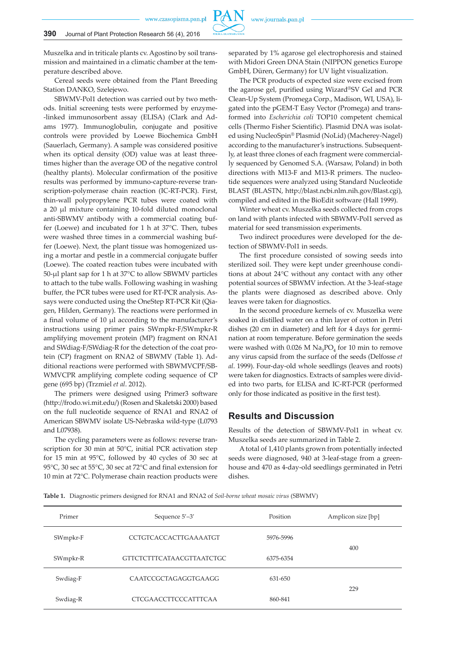www.czasopisma.pan.pl

Muszelka and in triticale plants cv. Agostino by soil transmission and maintained in a climatic chamber at the temperature described above.

Cereal seeds were obtained from the Plant Breeding Station DANKO, Szelejewo.

SBWMV-Pol1 detection was carried out by two methods. Initial screening tests were performed by enzyme- -linked immunosorbent assay (ELISA) (Clark and Adams 1977). Immunoglobulin, conjugate and positive controls were provided by Loewe Biochemica GmbH (Sauerlach, Germany). A sample was considered positive when its optical density (OD) value was at least threetimes higher than the average OD of the negative control (healthy plants). Molecular confirmation of the positive results was performed by immuno-capture-reverse transcription-polymerase chain reaction (IC-RT-PCR). First, thin-wall polypropylene PCR tubes were coated with a 20 µl mixture containing 10-fold diluted monoclonal anti-SBWMV antibody with a commercial coating buffer (Loewe) and incubated for 1 h at 37°C. Then, tubes were washed three times in a commercial washing buffer (Loewe). Next, the plant tissue was homogenized using a mortar and pestle in a commercial conjugate buffer (Loewe). The coated reaction tubes were incubated with 50-µl plant sap for 1 h at 37°C to allow SBWMV particles to attach to the tube walls. Following washing in washing buffer, the PCR tubes were used for RT-PCR analysis. Assays were conducted using the OneStep RT-PCR Kit (Qiagen, Hilden, Germany). The reactions were performed in a final volume of 10 µl according to the manufacturer's instructions using primer pairs SWmpkr-F/SWmpkr-R amplifying movement protein (MP) fragment on RNA1 and SWdiag-F/SWdiag-R for the detection of the coat protein (CP) fragment on RNA2 of SBWMV (Table 1). Additional reactions were performed with SBWMVCPF/SB-WMVCPR amplifying complete coding sequence of CP gene (695 bp) (Trzmiel *et al*. 2012).

The primers were designed using Primer3 software (http://frodo.wi.mit.edu/) (Rosen and Skaletski 2000) based on the full nucleotide sequence of RNA1 and RNA2 of American SBWMV isolate US-Nebraska wild-type (L0793 and L07938).

The cycling parameters were as follows: reverse transcription for 30 min at 50°C, initial PCR activation step for 15 min at 95°C, followed by 40 cycles of 30 sec at 95°C, 30 sec at 55°C, 30 sec at 72°C and final extension for 10 min at 72°C. Polymerase chain reaction products were separated by 1% agarose gel electrophoresis and stained with Midori Green DNA Stain (NIPPON genetics Europe GmbH, Düren, Germany) for UV light visualization.

The PCR products of expected size were excised from the agarose gel, purified using Wizard®SV Gel and PCR Clean-Up System (Promega Corp., Madison, WI, USA), ligated into the pGEM-T Easy Vector (Promega) and transformed into *Escherichia coli* TOP10 competent chemical cells (Thermo Fisher Scientific). Plasmid DNA was isolated using NucleoSpin® Plasmid (NoLid) (Macherey-Nagel) according to the manufacturer's instructions. Subsequently, at least three clones of each fragment were commercially sequenced by Genomed S.A. (Warsaw, Poland) in both directions with M13-F and M13-R primers. The nucleotide sequences were analyzed using Standard Nucleotide BLAST (BLASTN, http://blast.ncbi.nlm.nih.gov/Blast.cgi), compiled and edited in the BioEdit software (Hall 1999).

Winter wheat cv. Muszelka seeds collected from crops on land with plants infected with SBWMV-Pol1 served as material for seed transmission experiments.

Two indirect procedures were developed for the detection of SBWMV-Pol1 in seeds.

The first procedure consisted of sowing seeds into sterilized soil. They were kept under greenhouse conditions at about 24°C without any contact with any other potential sources of SBWMV infection. At the 3-leaf-stage the plants were diagnosed as described above. Only leaves were taken for diagnostics.

In the second procedure kernels of cv. Muszelka were soaked in distilled water on a thin layer of cotton in Petri dishes (20 cm in diameter) and left for 4 days for germination at room temperature. Before germination the seeds were washed with 0.026 M  $\text{Na}_3\text{PO}_4$  for 10 min to remove any virus capsid from the surface of the seeds (Delfosse *et al*. 1999). Four-day-old whole seedlings (leaves and roots) were taken for diagnostics. Extracts of samples were divided into two parts, for ELISA and IC-RT-PCR (performed only for those indicated as positive in the first test).

# **Results and Discussion**

Results of the detection of SBWMV-Pol1 in wheat cv. Muszelka seeds are summarized in Table 2.

A total of 1,410 plants grown from potentially infected seeds were diagnosed, 940 at 3-leaf-stage from a greenhouse and 470 as 4-day-old seedlings germinated in Petri dishes.

**Table 1.** Diagnostic primers designed for RNA1 and RNA2 of *Soil-borne wheat mosaic virus* (SBWMV)

| Primer   | Sequence 5'-3'<br>Position   |           | Amplicon size [bp] |  |
|----------|------------------------------|-----------|--------------------|--|
| SWmpkr-F | <b>CCTGTCACCACTTGAAAATGT</b> | 5976-5996 | 400                |  |
| SWmpkr-R | GTTCTCTTTCATAACGTTAATCTGC    | 6375-6354 |                    |  |
| Swdiag-F | <b>CAATCCGCTAGAGGTGAAGG</b>  | 631-650   |                    |  |
| Swdiag-R | <b>CTCGAACCTTCCCATTTCAA</b>  | 860-841   | 229                |  |

**PAN**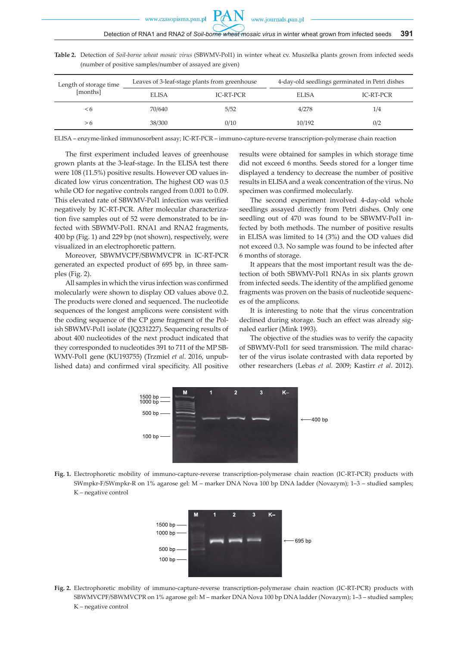**Table 2.** Detection of *Soil-borne wheat mosaic virus* (SBWMV-Pol1) in winter wheat cv. Muszelka plants grown from infected seeds (number of positive samples/number of assayed are given)

| Length of storage time | Leaves of 3-leaf-stage plants from greenhouse |           | 4-day-old seedlings germinated in Petri dishes |           |
|------------------------|-----------------------------------------------|-----------|------------------------------------------------|-----------|
| [months]               | <b>ELISA</b>                                  | IC-RT-PCR | <b>ELISA</b>                                   | IC-RT-PCR |
| $\leq 6$               | 70/640                                        | 5/52      | 4/278                                          | 1/4       |
| > 6                    | 38/300                                        | 0/10      | 10/192                                         | 0/2       |

ELISA – enzyme-linked immunosorbent assay; IC-RT-PCR – immuno-capture-reverse transcription-polymerase chain reaction

The first experiment included leaves of greenhouse grown plants at the 3-leaf-stage. In the ELISA test there were 108 (11.5%) positive results. However OD values indicated low virus concentration. The highest OD was 0.5 while OD for negative controls ranged from 0.001 to 0.09. This elevated rate of SBWMV-Pol1 infection was verified negatively by IC-RT-PCR. After molecular characterization five samples out of 52 were demonstrated to be infected with SBWMV-Pol1. RNA1 and RNA2 fragments, 400 bp (Fig. 1) and 229 bp (not shown), respectively, were visualized in an electrophoretic pattern.

Moreover, SBWMVCPF/SBWMVCPR in IC-RT-PCR generated an expected product of 695 bp, in three samples (Fig. 2).

All samples in which the virus infection was confirmed molecularly were shown to display OD values above 0.2. The products were cloned and sequenced. The nucleotide sequences of the longest amplicons were consistent with the coding sequence of the CP gene fragment of the Polish SBWMV-Pol1 isolate (JQ231227). Sequencing results of about 400 nucleotides of the next product indicated that they corresponded to nucleotides 391 to 711 of the MP SB-WMV-Pol1 gene (KU193755) (Trzmiel *et al*. 2016, unpublished data) and confirmed viral specificity. All positive results were obtained for samples in which storage time did not exceed 6 months. Seeds stored for a longer time displayed a tendency to decrease the number of positive results in ELISA and a weak concentration of the virus. No specimen was confirmed molecularly.

The second experiment involved 4-day-old whole seedlings assayed directly from Petri dishes. Only one seedling out of 470 was found to be SBWMV-Pol1 infected by both methods. The number of positive results in ELISA was limited to 14 (3%) and the OD values did not exceed 0.3. No sample was found to be infected after 6 months of storage.

It appears that the most important result was the detection of both SBWMV-Pol1 RNAs in six plants grown from infected seeds. The identity of the amplified genome fragments was proven on the basis of nucleotide sequences of the amplicons.

It is interesting to note that the virus concentration declined during storage. Such an effect was already signaled earlier (Mink 1993).

The objective of the studies was to verify the capacity of SBWMV-Pol1 for seed transmission. The mild character of the virus isolate contrasted with data reported by other researchers (Lebas *et al.* 2009; Kastirr *et al*. 2012).



**Fig. 1.** Electrophoretic mobility of immuno-capture-reverse transcription-polymerase chain reaction (IC-RT-PCR) products with SWmpkr-F/SWmpkr-R on 1% agarose gel: M – marker DNA Nova 100 bp DNA ladder (Novazym); 1–3 – studied samples; K – negative control



**Fig. 2.** Electrophoretic mobility of immuno-capture-reverse transcription-polymerase chain reaction (IC-RT-PCR) products with SBWMVCPF/SBWMVCPR on 1% agarose gel: M – marker DNA Nova 100 bp DNA ladder (Novazym); 1–3 – studied samples; K – negative control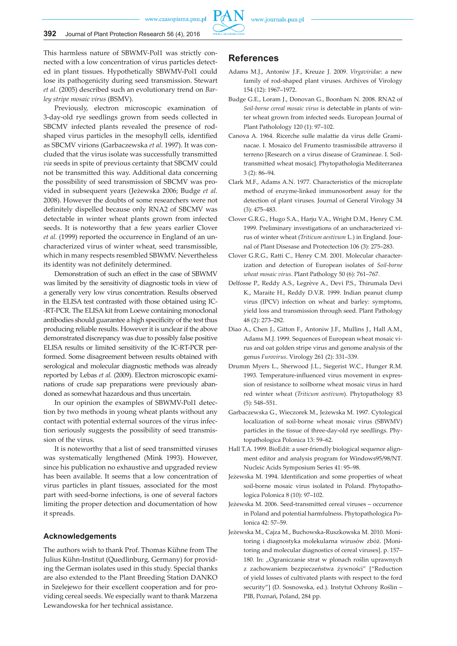www.czasopisma.pan.pl



This harmless nature of SBWMV-Pol1 was strictly connected with a low concentration of virus particles detected in plant tissues. Hypothetically SBWMV-Pol1 could lose its pathogenicity during seed transmission. Stewart *et al.* (2005) described such an evolutionary trend on *Barley stripe mosaic virus* (BSMV).

Previously, electron microscopic examination of 3-day-old rye seedlings grown from seeds collected in SBCMV infected plants revealed the presence of rodshaped virus particles in the mesophyll cells, identified as SBCMV virions (Garbaczewska *et al.* 1997). It was concluded that the virus isolate was successfully transmitted *via* seeds in spite of previous certainty that SBCMV could not be transmitted this way. Additional data concerning the possibility of seed transmission of SBCMV was provided in subsequent years (Jeżewska 2006; Budge *et al.* 2008). However the doubts of some researchers were not definitely dispelled because only RNA2 of SBCMV was detectable in winter wheat plants grown from infected seeds. It is noteworthy that a few years earlier Clover *et al.* (1999) reported the occurrence in England of an uncharacterized virus of winter wheat, seed transmissible, which in many respects resembled SBWMV. Nevertheless its identity was not definitely determined.

Demonstration of such an effect in the case of SBWMV was limited by the sensitivity of diagnostic tools in view of a generally very low virus concentration. Results observed in the ELISA test contrasted with those obtained using IC- -RT-PCR. The ELISA kit from Loewe containing monoclonal antibodies should guarantee a high specificity of the test thus producing reliable results. However it is unclear if the above demonstrated discrepancy was due to possibly false positive ELISA results or limited sensitivity of the IC-RT-PCR performed. Some disagreement between results obtained with serological and molecular diagnostic methods was already reported by Lebas *et al.* (2009). Electron microscopic examinations of crude sap preparations were previously abandoned as somewhat hazardous and thus uncertain.

In our opinion the examples of SBWMV-Pol1 detection by two methods in young wheat plants without any contact with potential external sources of the virus infection seriously suggests the possibility of seed transmission of the virus.

It is noteworthy that a list of seed transmitted viruses was systematically lengthened (Mink 1993). However, since his publication no exhaustive and upgraded review has been available. It seems that a low concentration of virus particles in plant tissues, associated for the most part with seed-borne infections, is one of several factors limiting the proper detection and documentation of how it spreads.

#### **Acknowledgements**

The authors wish to thank Prof. Thomas Kühne from The Julius Kühn-Institut (Quedlinburg, Germany) for providing the German isolates used in this study. Special thanks are also extended to the Plant Breeding Station DANKO in Szelejewo for their excellent cooperation and for providing cereal seeds. We especially want to thank Marzena Lewandowska for her technical assistance.

#### **References**

- Adams M.J., Antoniw J.F., Kreuze J. 2009. *Virgaviridae*: a new family of rod-shaped plant viruses. Archives of Virology 154 (12): 1967–1972.
- Budge G.E., Loram J., Donovan G., Boonham N. 2008. RNA2 of *Soil-borne cereal mosaic virus* is detectable in plants of winter wheat grown from infected seeds. European Journal of Plant Patholology 120 (1): 97–102.
- Canova A. 1964. Ricerche sulle malattie da virus delle Graminacae. I. Mosaico del Frumento trasmissibile attraverso il terreno [Research on a virus disease of Gramineae. I. Soiltransmitted wheat mosaic]. Phytopathologia Mediterranea 3 (2): 86–94.
- Clark M.F., Adams A.N. 1977. Characteristics of the microplate method of enzyme-linked immunosorbent assay for the detection of plant viruses. Journal of General Virology 34 (3): 475–483.
- Clover G.R.G., Hugo S.A., Harju V.A., Wright D.M., Henry C.M. 1999. Preliminary investigations of an uncharacterized virus of winter wheat (*Triticum aestivum* L.) in England. Journal of Plant Disesase and Protectection 106 (3): 275–283.
- Clover G.R.G., Ratti C., Henry C.M. 2001. Molecular characterization and detection of European isolates of *Soil-borne wheat mosaic virus*. Plant Pathology 50 (6): 761–767.
- Delfosse P., Reddy A.S., Legrève A., Devi P.S., Thirumala Devi K., Maraite H., Reddy D.V.R. 1999. Indian peanut clump virus (IPCV) infection on wheat and barley: symptoms, yield loss and transmission through seed. Plant Pathology 48 (2): 273–282.
- Diao A., Chen J., Gitton F., Antoniw J.F., Mullins J., Hall A.M., Adams M.J. 1999. Sequences of European wheat mosaic virus and oat golden stripe virus and genome analysis of the genus *Furovirus*. Virology 261 (2): 331–339.
- Drumm Myers L., Sherwood J.L., Siegerist W.C., Hunger R.M. 1993. Temperature-influenced virus movement in expression of resistance to soilborne wheat mosaic virus in hard red winter wheat (*Triticum aestivum*). Phytopathology 83 (5): 548–551.
- Garbaczewska G., Wieczorek M., Jeżewska M. 1997. Cytological localization of soil-borne wheat mosaic virus (SBWMV) particles in the tissue of three-day-old rye seedlings. Phytopathologica Polonica 13: 59–62.
- Hall T.A. 1999. BioEdit: a user-friendly biological sequence alignment editor and analysis program for Windows95/98/NT*.*  Nucleic Acids Symposium Series 41: 95–98.
- Jeżewska M. 1994. Identification and some properties of wheat soil-borne mosaic virus isolated in Poland. Phytopathologica Polonica 8 (10): 97–102.
- Jeżewska M. 2006. Seed-transmitted cereal viruses occurrence in Poland and potential harmfulness. Phytopathologica Polonica 42: 57–59.
- Jeżewska M., Cajza M., Buchowska-Ruszkowska M. 2010. Monitoring i diagnostyka molekularna wirusów zbóż. [Monitoring and molecular diagnostics of cereal viruses]. p. 157– 180. In: "Ograniczanie strat w plonach roślin uprawnych z zachowaniem bezpieczeństwa żywności" ["Reduction of yield losses of cultivated plants with respect to the ford security"] (D. Sosnowska, ed.). Instytut Ochrony Roślin – PIB, Poznań, Poland, 284 pp.